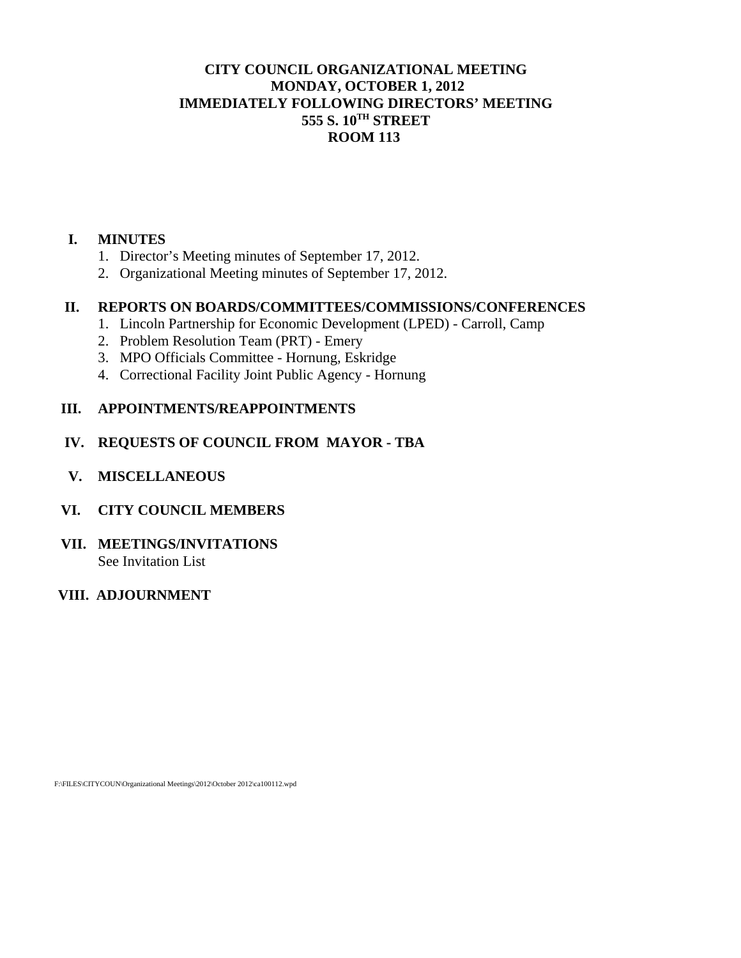## **CITY COUNCIL ORGANIZATIONAL MEETING MONDAY, OCTOBER 1, 2012 IMMEDIATELY FOLLOWING DIRECTORS' MEETING 555 S. 10TH STREET ROOM 113**

## **I. MINUTES**

- 1. Director's Meeting minutes of September 17, 2012.
- 2. Organizational Meeting minutes of September 17, 2012.

## **II. REPORTS ON BOARDS/COMMITTEES/COMMISSIONS/CONFERENCES**

- 1. Lincoln Partnership for Economic Development (LPED) Carroll, Camp
- 2. Problem Resolution Team (PRT) Emery
- 3. MPO Officials Committee Hornung, Eskridge
- 4. Correctional Facility Joint Public Agency Hornung

## **III. APPOINTMENTS/REAPPOINTMENTS**

## **IV. REQUESTS OF COUNCIL FROM MAYOR - TBA**

 **V. MISCELLANEOUS** 

## **VI. CITY COUNCIL MEMBERS**

#### **VII. MEETINGS/INVITATIONS**  See Invitation List

### **VIII. ADJOURNMENT**

F:\FILES\CITYCOUN\Organizational Meetings\2012\October 2012\ca100112.wpd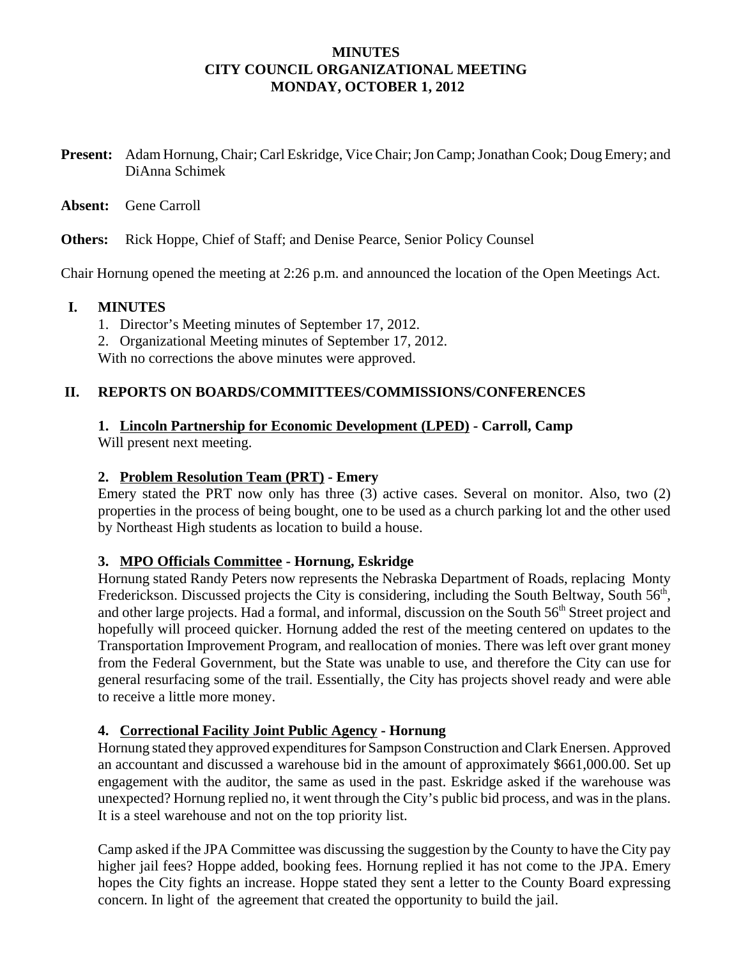## **MINUTES CITY COUNCIL ORGANIZATIONAL MEETING MONDAY, OCTOBER 1, 2012**

**Present:** Adam Hornung, Chair; Carl Eskridge, Vice Chair; Jon Camp; Jonathan Cook; Doug Emery; and DiAnna Schimek

#### **Absent:** Gene Carroll

**Others:** Rick Hoppe, Chief of Staff; and Denise Pearce, Senior Policy Counsel

Chair Hornung opened the meeting at 2:26 p.m. and announced the location of the Open Meetings Act.

#### **I. MINUTES**

- 1. Director's Meeting minutes of September 17, 2012.
- 2. Organizational Meeting minutes of September 17, 2012.

With no corrections the above minutes were approved.

### **II. REPORTS ON BOARDS/COMMITTEES/COMMISSIONS/CONFERENCES**

#### **1. Lincoln Partnership for Economic Development (LPED) - Carroll, Camp**

Will present next meeting.

#### **2. Problem Resolution Team (PRT) - Emery**

Emery stated the PRT now only has three (3) active cases. Several on monitor. Also, two (2) properties in the process of being bought, one to be used as a church parking lot and the other used by Northeast High students as location to build a house.

### **3. MPO Officials Committee - Hornung, Eskridge**

Hornung stated Randy Peters now represents the Nebraska Department of Roads, replacing Monty Frederickson. Discussed projects the City is considering, including the South Beltway, South 56<sup>th</sup>, and other large projects. Had a formal, and informal, discussion on the South 56<sup>th</sup> Street project and hopefully will proceed quicker. Hornung added the rest of the meeting centered on updates to the Transportation Improvement Program, and reallocation of monies. There was left over grant money from the Federal Government, but the State was unable to use, and therefore the City can use for general resurfacing some of the trail. Essentially, the City has projects shovel ready and were able to receive a little more money.

### **4. Correctional Facility Joint Public Agency - Hornung**

Hornung stated they approved expenditures for Sampson Construction and Clark Enersen. Approved an accountant and discussed a warehouse bid in the amount of approximately \$661,000.00. Set up engagement with the auditor, the same as used in the past. Eskridge asked if the warehouse was unexpected? Hornung replied no, it went through the City's public bid process, and was in the plans. It is a steel warehouse and not on the top priority list.

Camp asked if the JPA Committee was discussing the suggestion by the County to have the City pay higher jail fees? Hoppe added, booking fees. Hornung replied it has not come to the JPA. Emery hopes the City fights an increase. Hoppe stated they sent a letter to the County Board expressing concern. In light of the agreement that created the opportunity to build the jail.